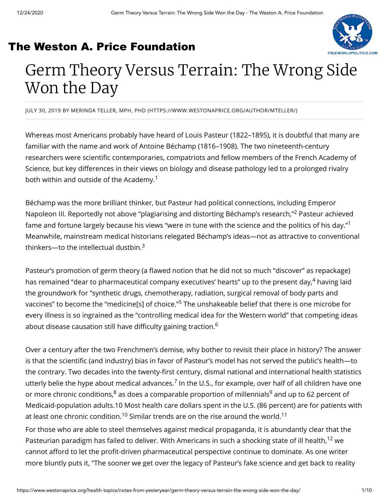### [The Weston A. Price Foundation](https://www.westonaprice.org/?ulp=n1R6haEC59Hjn69c&ac=XeCfHppkwM29ygem#ulp-n1R6haEC59Hjn69c)



# Germ Theory Versus Terrain: The Wrong Side Won the Day

JULY 30, 2019 BY MERINDA TELLER, MPH, PHD [\(HTTPS://WWW.WESTONAPRICE.ORG/AUTHOR/MTELLER/\)](https://www.westonaprice.org/author/mteller/)

Whereas most Americans probably have heard of Louis Pasteur (1822–1895), it is doubtful that many are familiar with the name and work of Antoine Béchamp (1816–1908). The two nineteenth-century researchers were scientific contemporaries, compatriots and fellow members of the French Academy of Science, but key differences in their views on biology and disease pathology led to a prolonged rivalry both within and outside of the Academy. 1

Béchamp was the more brilliant thinker, but Pasteur had political connections, including Emperor Napoleon III. Reportedly not above "plagiarising and distorting Béchamp's research,"<sup>2</sup> Pasteur achieved fame and fortune largely because his views "were in tune with the science and the politics of his day."<sup>1</sup> Meanwhile, mainstream medical historians relegated Béchamp's ideas—not as attractive to conventional thinkers—to the intellectual dustbin. $^3$ 

Pasteur's promotion of germ theory (a flawed notion that he did not so much "discover" as repackage) has remained "dear to pharmaceutical company executives' hearts" up to the present day,<sup>4</sup> having laid the groundwork for "synthetic drugs, chemotherapy, radiation, surgical removal of body parts and vaccines" to become the "medicine[s] of choice." $^5$  The unshakeable belief that there is one microbe for every illness is so ingrained as the "controlling medical idea for the Western world" that competing ideas about disease causation still have difficulty gaining traction.<sup>6</sup>

Over a century after the two Frenchmen's demise, why bother to revisit their place in history? The answer is that the scientific (and industry) bias in favor of Pasteur's model has not served the public's health—to the contrary. Two decades into the twenty-first century, dismal national and international health statistics utterly belie the hype about medical advances.<sup>7</sup> In the U.S., for example, over half of all children have one or more chronic conditions, $^8$  as does a comparable proportion of millennials $^9$  and up to 62 percent of Medicaid-population adults.10 Most health care dollars spent in the U.S. (86 percent) are for patients with at least one chronic condition. $^{10}$  Similar trends are on the rise around the world. $^{11}$ 

For those who are able to steel themselves against medical propaganda, it is abundantly clear that the Pasteurian paradigm has failed to deliver. With Americans in such a shocking state of ill health, <sup>12</sup> we cannot afford to let the profit-driven pharmaceutical perspective continue to dominate. As one writer more bluntly puts it, "The sooner we get over the legacy of Pasteur's fake science and get back to reality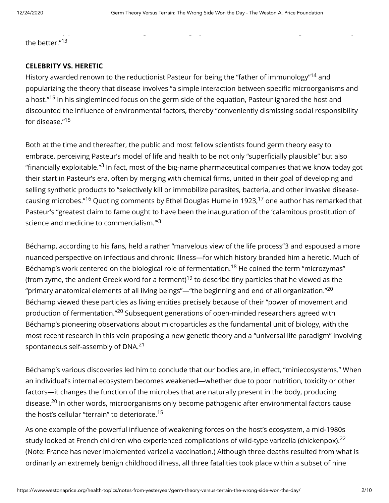y p g g y g y

the better."<sup>13</sup>

#### **CELEBRITY VS. HERETIC**

History awarded renown to the reductionist Pasteur for being the "father of immunology"<sup>14</sup> and popularizing the theory that disease involves "a simple interaction between specific microorganisms and a host."<sup>15</sup> In his singleminded focus on the germ side of the equation, Pasteur ignored the host and discounted the influence of environmental factors, thereby "conveniently dismissing social responsibility for disease." 15

Both at the time and thereafter, the public and most fellow scientists found germ theory easy to embrace, perceiving Pasteur's model of life and health to be not only "superficially plausible" but also "financially exploitable." $^3$  In fact, most of the big-name pharmaceutical companies that we know today got their start in Pasteur's era, often by merging with chemical firms, united in their goal of developing and selling synthetic products to "selectively kill or immobilize parasites, bacteria, and other invasive diseasecausing microbes."<sup>16</sup> Quoting comments by Ethel Douglas Hume in 1923,<sup>17</sup> one author has remarked that Pasteur's "greatest claim to fame ought to have been the inauguration of the 'calamitous prostitution of science and medicine to commercialism."<sup>3</sup>

Béchamp, according to his fans, held a rather "marvelous view of the life process"3 and espoused a more nuanced perspective on infectious and chronic illness—for which history branded him a heretic. Much of Béchamp's work centered on the biological role of fermentation.<sup>18</sup> He coined the term "microzymas" (from zyme, the ancient Greek word for a ferment) $^{19}$  to describe tiny particles that he viewed as the "primary anatomical elements of all living beings"—"the beginning and end of all organization." $^{\rm 20}$ Béchamp viewed these particles as living entities precisely because of their "power of movement and production of fermentation." $^{20}$  Subsequent generations of open-minded researchers agreed with Béchamp's pioneering observations about microparticles as the fundamental unit of biology, with the most recent research in this vein proposing a new genetic theory and a "universal life paradigm" involving spontaneous self-assembly of DNA.<sup>21</sup>

Béchamp's various discoveries led him to conclude that our bodies are, in effect, "miniecosystems." When an individual's internal ecosystem becomes weakened—whether due to poor nutrition, toxicity or other factors—it changes the function of the microbes that are naturally present in the body, producing disease.<sup>20</sup> In other words, microorganisms only become pathogenic after environmental factors cause the host's cellular "terrain" to deteriorate. 15

As one example of the powerful influence of weakening forces on the host's ecosystem, a mid-1980s study looked at French children who experienced complications of wild-type varicella (chickenpox).<sup>22</sup> (Note: France has never implemented varicella vaccination.) Although three deaths resulted from what is ordinarily an extremely benign childhood illness, all three fatalities took place within a subset of nine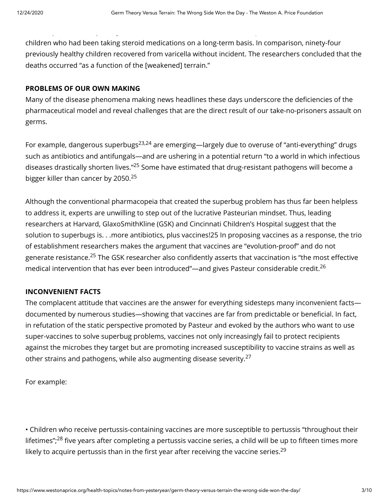children who had been taking steroid medications on a long-term basis. In comparison, ninety-four previously healthy children recovered from varicella without incident. The researchers concluded that the deaths occurred "as a function of the [weakened] terrain."

y y g programa de la programa de la programa de la programa de la programa de la programa de la programa de la<br>En 1990, en la programa de la programa de la programa de la programa de la programa de la programa de la progr

#### **PROBLEMS OF OUR OWN MAKING**

Many of the disease phenomena making news headlines these days underscore the deficiencies of the pharmaceutical model and reveal challenges that are the direct result of our take-no-prisoners assault on germs.

For example, dangerous superbugs<sup>23,24</sup> are emerging—largely due to overuse of "anti-everything" drugs such as antibiotics and antifungals—and are ushering in a potential return "to a world in which infectious diseases drastically shorten lives."<sup>25</sup> Some have estimated that drug-resistant pathogens will become a bigger killer than cancer by 2050.<sup>25</sup>

Although the conventional pharmacopeia that created the superbug problem has thus far been helpless to address it, experts are unwilling to step out of the lucrative Pasteurian mindset. Thus, leading researchers at Harvard, GlaxoSmithKline (GSK) and Cincinnati Children's Hospital suggest that the solution to superbugs is. . .more antibiotics, plus vaccines!25 In proposing vaccines as a response, the trio of establishment researchers makes the argument that vaccines are "evolution-proof" and do not generate resistance.<sup>25</sup> The GSK researcher also confidently asserts that vaccination is "the most effective medical intervention that has ever been introduced"—and gives Pasteur considerable credit.<sup>26</sup>

#### **INCONVENIENT FACTS**

The complacent attitude that vaccines are the answer for everything sidesteps many inconvenient facts documented by numerous studies-showing that vaccines are far from predictable or beneficial. In fact, in refutation of the static perspective promoted by Pasteur and evoked by the authors who want to use super-vaccines to solve superbug problems, vaccines not only increasingly fail to protect recipients against the microbes they target but are promoting increased susceptibility to vaccine strains as well as other strains and pathogens, while also augmenting disease severity.<sup>27</sup>

For example:

• Children who receive pertussis-containing vaccines are more susceptible to pertussis "throughout their lifetimes"; $^{28}$  five years after completing a pertussis vaccine series, a child will be up to fifteen times more likely to acquire pertussis than in the first year after receiving the vaccine series. $^{29}$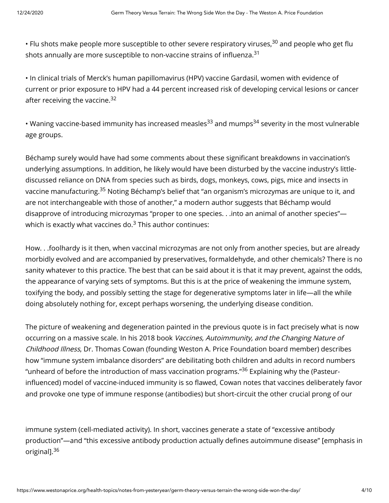• Flu shots make people more susceptible to other severe respiratory viruses, $^{30}$  and people who get flu shots annually are more susceptible to non-vaccine strains of influenza. $^{\rm 31}$ 

• In clinical trials of Merck's human papillomavirus (HPV) vaccine Gardasil, women with evidence of current or prior exposure to HPV had a 44 percent increased risk of developing cervical lesions or cancer after receiving the vaccine.<sup>32</sup>

• Waning vaccine-based immunity has increased measles<sup>33</sup> and mumps<sup>34</sup> severity in the most vulnerable age groups.

Béchamp surely would have had some comments about these significant breakdowns in vaccination's underlying assumptions. In addition, he likely would have been disturbed by the vaccine industry's littlediscussed reliance on DNA from species such as birds, dogs, monkeys, cows, pigs, mice and insects in vaccine manufacturing.<sup>35</sup> Noting Béchamp's belief that "an organism's microzymas are unique to it, and are not interchangeable with those of another," a modern author suggests that Béchamp would disapprove of introducing microzymas "proper to one species. . .into an animal of another species" which is exactly what vaccines do. $3$  This author continues:

How. . .foolhardy is it then, when vaccinal microzymas are not only from another species, but are already morbidly evolved and are accompanied by preservatives, formaldehyde, and other chemicals? There is no sanity whatever to this practice. The best that can be said about it is that it may prevent, against the odds, the appearance of varying sets of symptoms. But this is at the price of weakening the immune system, toxifying the body, and possibly setting the stage for degenerative symptoms later in life—all the while doing absolutely nothing for, except perhaps worsening, the underlying disease condition.

The picture of weakening and degeneration painted in the previous quote is in fact precisely what is now occurring on a massive scale. In his 2018 book Vaccines, Autoimmunity, and the Changing Nature of Childhood Illness, Dr. Thomas Cowan (founding Weston A. Price Foundation board member) describes how "immune system imbalance disorders" are debilitating both children and adults in record numbers "unheard of before the introduction of mass vaccination programs."<sup>36</sup> Explaining why the (Pasteurinfluenced) model of vaccine-induced immunity is so flawed, Cowan notes that vaccines deliberately favor and provoke one type of immune response (antibodies) but short-circuit the other crucial prong of our

immune system (cell-mediated activity). In short, vaccines generate a state of "excessive antibody production"—and "this excessive antibody production actually defines autoimmune disease" [emphasis in original].<sup>36</sup>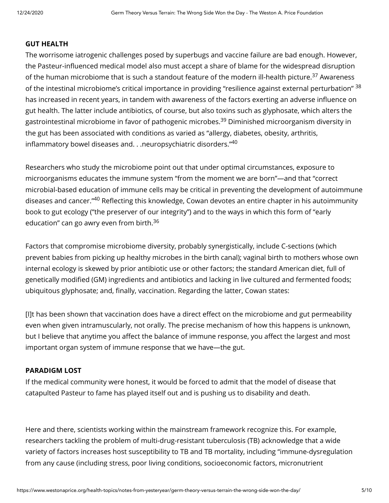#### **GUT HEALTH**

The worrisome iatrogenic challenges posed by superbugs and vaccine failure are bad enough. However, the Pasteur-influenced medical model also must accept a share of blame for the widespread disruption of the human microbiome that is such a standout feature of the modern ill-health picture. $^{37}$  Awareness of the intestinal microbiome's critical importance in providing "resilience against external perturbation" <sup>38</sup> has increased in recent years, in tandem with awareness of the factors exerting an adverse influence on gut health. The latter include antibiotics, of course, but also toxins such as glyphosate, which alters the gastrointestinal microbiome in favor of pathogenic microbes.<sup>39</sup> Diminished microorganism diversity in the gut has been associated with conditions as varied as "allergy, diabetes, obesity, arthritis, inflammatory bowel diseases and. . .neuropsychiatric disorders." $^{40}$ 

Researchers who study the microbiome point out that under optimal circumstances, exposure to microorganisms educates the immune system "from the moment we are born"—and that "correct microbial-based education of immune cells may be critical in preventing the development of autoimmune diseases and cancer."<sup>40</sup> Reflecting this knowledge, Cowan devotes an entire chapter in his autoimmunity book to gut ecology ("the preserver of our integrity") and to the ways in which this form of "early education" can go awry even from birth.<sup>36</sup>

Factors that compromise microbiome diversity, probably synergistically, include C-sections (which prevent babies from picking up healthy microbes in the birth canal); vaginal birth to mothers whose own internal ecology is skewed by prior antibiotic use or other factors; the standard American diet, full of genetically modified (GM) ingredients and antibiotics and lacking in live cultured and fermented foods; ubiquitous glyphosate; and, finally, vaccination. Regarding the latter, Cowan states:

[I]t has been shown that vaccination does have a direct effect on the microbiome and gut permeability even when given intramuscularly, not orally. The precise mechanism of how this happens is unknown, but I believe that anytime you affect the balance of immune response, you affect the largest and most important organ system of immune response that we have—the gut.

#### **PARADIGM LOST**

If the medical community were honest, it would be forced to admit that the model of disease that catapulted Pasteur to fame has played itself out and is pushing us to disability and death.

Here and there, scientists working within the mainstream framework recognize this. For example, researchers tackling the problem of multi-drug-resistant tuberculosis (TB) acknowledge that a wide variety of factors increases host susceptibility to TB and TB mortality, including "immune-dysregulation from any cause (including stress, poor living conditions, socioeconomic factors, micronutrient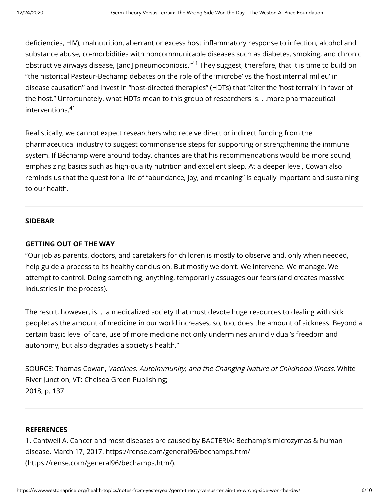deficiencies, HIV), malnutrition, aberrant or excess host inflammatory response to infection, alcohol and substance abuse, co-morbidities with noncommunicable diseases such as diabetes, smoking, and chronic obstructive airways disease, [and] pneumoconiosis."<sup>41</sup> They suggest, therefore, that it is time to build on "the historical Pasteur-Bechamp debates on the role of the 'microbe' vs the 'host internal milieu' in disease causation" and invest in "host-directed therapies" (HDTs) that "alter the 'host terrain' in favor of the host." Unfortunately, what HDTs mean to this group of researchers is. . .more pharmaceutical interventions. 41

Realistically, we cannot expect researchers who receive direct or indirect funding from the pharmaceutical industry to suggest commonsense steps for supporting or strengthening the immune system. If Béchamp were around today, chances are that his recommendations would be more sound, emphasizing basics such as high-quality nutrition and excellent sleep. At a deeper level, Cowan also reminds us that the quest for a life of "abundance, joy, and meaning" is equally important and sustaining to our health.

#### **SIDEBAR**

#### **GETTING OUT OF THE WAY**

y g p g

"Our job as parents, doctors, and caretakers for children is mostly to observe and, only when needed, help guide a process to its healthy conclusion. But mostly we don't. We intervene. We manage. We attempt to control. Doing something, anything, temporarily assuages our fears (and creates massive industries in the process).

The result, however, is. . .a medicalized society that must devote huge resources to dealing with sick people; as the amount of medicine in our world increases, so, too, does the amount of sickness. Beyond a certain basic level of care, use of more medicine not only undermines an individual's freedom and autonomy, but also degrades a society's health."

SOURCE: Thomas Cowan, Vaccines, Autoimmunity, and the Changing Nature of Childhood Illness. White River Junction, VT: Chelsea Green Publishing; 2018, p. 137.

#### **REFERENCES**

1. Cantwell A. Cancer and most diseases are caused by BACTERIA: Bechamp's microzymas & human [disease. March 17, 2017. https://rense.com/general96/bechamps.htm/](https://rense.com/general96/bechamps.htm/) (https://rense.com/general96/bechamps.htm/).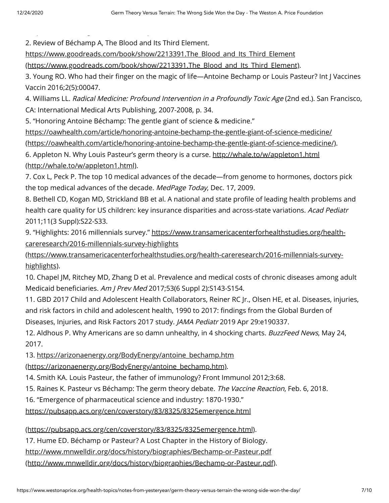2. Review of Béchamp A, The Blood and Its Third Element.

[p](https://rense.com/general96/bechamps.htm/) g p

https://www.goodreads.com/book/show/2213391.The\_Blood\_and\_Its\_Third\_Element

[\(https://www.goodreads.com/book/show/2213391.The\\_Blood\\_and\\_Its\\_Third\\_Element\)](https://www.goodreads.com/book/show/2213391.The_Blood_and_Its_Third_Element).

3. Young RO. Who had their finger on the magic of life—Antoine Bechamp or Louis Pasteur? Int J Vaccines Vaccin 2016;2(5):00047.

4. Williams LL. Radical Medicine: Profound Intervention in a Profoundly Toxic Age (2nd ed.). San Francisco, CA: International Medical Arts Publishing, 2007-2008, p. 34.

5. "Honoring Antoine Béchamp: The gentle giant of science & medicine."

https://oawhealth.com/article/honoring-antoine-bechamp-the-gentle-giant-of-science-medicine/ [\(https://oawhealth.com/article/honoring-antoine-bechamp-the-gentle-giant-of-science-medicine/\)](https://oawhealth.com/article/honoring-antoine-bechamp-the-gentle-giant-of-science-medicine/).

[6. Appleton N. Why Louis Pasteur's germ theory is a curse. http://whale.to/w/appleton1.html](http://whale.to/w/appleton1.html) (http://whale.to/w/appleton1.html).

7. Cox L, Peck P. The top 10 medical advances of the decade—from genome to hormones, doctors pick the top medical advances of the decade. MedPage Today, Dec. 17, 2009.

8. Bethell CD, Kogan MD, Strickland BB et al. A national and state profile of leading health problems and health care quality for US children: key insurance disparities and across-state variations. Acad Pediatr 2011;11(3 Suppl):S22-S33.

[9. "Highlights: 2016 millennials survey." https://www.transamericacenterforhealthstudies.org/health](https://www.transamericacenterforhealthstudies.org/health-careresearch/2016-millennials-survey-highlights)careresearch/2016-millennials-survey-highlights

(https://www.transamericacenterforhealthstudies.org/health-careresearch/2016-millennials-surveyhighlights).

10. Chapel JM, Ritchey MD, Zhang D et al. Prevalence and medical costs of chronic diseases among adult Medicaid beneficiaries. Am J Prev Med 2017;53(6 Suppl 2):S143-S154.

11. GBD 2017 Child and Adolescent Health Collaborators, Reiner RC Jr., Olsen HE, et al. Diseases, injuries, and risk factors in child and adolescent health, 1990 to 2017: findings from the Global Burden of Diseases, Injuries, and Risk Factors 2017 study. JAMA Pediatr 2019 Apr 29:e190337.

12. Aldhous P. Why Americans are so damn unhealthy, in 4 shocking charts. BuzzFeed News, May 24, 2017.

[13. https://arizonaenergy.org/BodyEnergy/antoine\\_bechamp.htm](https://arizonaenergy.org/BodyEnergy/antoine_bechamp.htm)

(https://arizonaenergy.org/BodyEnergy/antoine\_bechamp.htm).

14. Smith KA. Louis Pasteur, the father of immunology? Front Immunol 2012;3:68.

15. Raines K. Pasteur vs Béchamp: The germ theory debate. The Vaccine Reaction, Feb. 6, 2018.

16. "Emergence of pharmaceutical science and industry: 1870-1930."

https://pubsapp.acs.org/cen/coverstory/83/8325/8325emergence.html

[\(https://pubsapp.acs.org/cen/coverstory/83/8325/8325emergence.html\)](https://pubsapp.acs.org/cen/coverstory/83/8325/8325emergence.html).

17. Hume ED. Béchamp or Pasteur? A Lost Chapter in the History of Biology.

http://www.mnwelldir.org/docs/history/biographies/Bechamp-or-Pasteur.pdf

[\(http://www.mnwelldir.org/docs/history/biographies/Bechamp-or-Pasteur.pdf\).](http://www.mnwelldir.org/docs/history/biographies/Bechamp-or-Pasteur.pdf)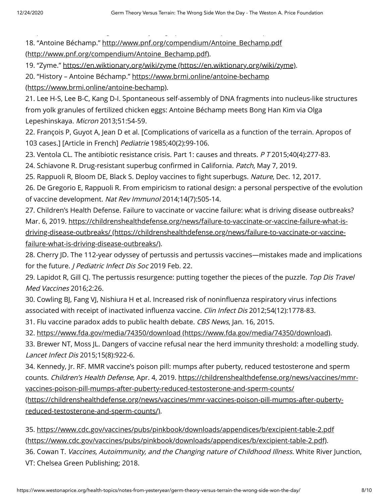[p](http://www.mnwelldir.org/docs/history/biographies/Bechamp-or-Pasteur.pdf) g y g p p p [18. "Antoine Béchamp." http://www.pnf.org/compendium/Antoine\\_Bechamp.pdf](http://www.pnf.org/compendium/Antoine_Bechamp.pdf)

(http://www.pnf.org/compendium/Antoine\_Bechamp.pdf).

19. "Zyme." [https://en.wiktionary.org/wiki/zyme \(https://en.wiktionary.org/wiki/zyme\).](https://en.wiktionary.org/wiki/zyme)

[20. "History – Antoine Béchamp." https://www.brmi.online/antoine-bechamp](https://www.brmi.online/antoine-bechamp)

(https://www.brmi.online/antoine-bechamp).

21. Lee H-S, Lee B-C, Kang D-I. Spontaneous self-assembly of DNA fragments into nucleus-like structures from yolk granules of fertilized chicken eggs: Antoine Béchamp meets Bong Han Kim via Olga Lepeshinskaya. Micron 2013;51:54-59.

22. François P, Guyot A, Jean D et al. [Complications of varicella as a function of the terrain. Apropos of 103 cases.] [Article in French] Pediatrie 1985;40(2):99-106.

23. Ventola CL. The antibiotic resistance crisis. Part 1: causes and threats. P T 2015;40(4):277-83.

24. Schiavone R. Drug-resistant superbug confirmed in California. Patch, May 7, 2019.

25. Rappuoli R, Bloom DE, Black S. Deploy vaccines to fight superbugs. Nature, Dec. 12, 2017.

26. De Gregorio E, Rappuoli R. From empiricism to rational design: a personal perspective of the evolution of vaccine development. Nat Rev Immunol 2014;14(7):505-14.

27. Children's Health Defense. Failure to vaccinate or vaccine failure: what is driving disease outbreaks? [Mar. 6, 2019. https://childrenshealthdefense.org/news/failure-to-vaccinate-or-vaccine-failure-what-is](https://childrenshealthdefense.org/news/failure-to-vaccinate-or-vaccine-failure-what-is-driving-disease-outbreaks/)driving-disease-outbreaks/ (https://childrenshealthdefense.org/news/failure-to-vaccinate-or-vaccinefailure-what-is-driving-disease-outbreaks/).

28. Cherry JD. The 112-year odyssey of pertussis and pertussis vaccines—mistakes made and implications for the future. *J Pediatric Infect Dis Soc* 2019 Feb. 22.

29. Lapidot R, Gill CJ. The pertussis resurgence: putting together the pieces of the puzzle. Top Dis Travel Med Vaccines 2016;2:26.

30. Cowling BJ, Fang VJ, Nishiura H et al. Increased risk of noninfluenza respiratory virus infections associated with receipt of inactivated influenza vaccine. Clin Infect Dis 2012;54(12):1778-83.

31. Flu vaccine paradox adds to public health debate. CBS News, Jan. 16, 2015.

32. [https://www.fda.gov/media/74350/download \(https://www.fda.gov/media/74350/download\)](https://www.fda.gov/media/74350/download).

33. Brewer NT, Moss JL. Dangers of vaccine refusal near the herd immunity threshold: a modelling study. Lancet Infect Dis 2015;15(8):922-6.

34. Kennedy, Jr. RF. MMR vaccine's poison pill: mumps after puberty, reduced testosterone and sperm counts. Children's Health Defense, Apr. 4, 2019. https://childrenshealthdefense.org/news/vaccines/mmrvaccines-poison-pill-mumps-after-puberty-reduced-testosterone-and-sperm-counts/

[\(https://childrenshealthdefense.org/news/vaccines/mmr-vaccines-poison-pill-mumps-after-puberty](https://childrenshealthdefense.org/news/vaccines/mmr-vaccines-poison-pill-mumps-after-puberty-reduced-testosterone-and-sperm-counts/)reduced-testosterone-and-sperm-counts/).

[35. https://www.cdc.gov/vaccines/pubs/pinkbook/downloads/appendices/b/excipient-table-2.pdf](https://www.cdc.gov/vaccines/pubs/pinkbook/downloads/appendices/b/excipient-table-2.pdf) (https://www.cdc.gov/vaccines/pubs/pinkbook/downloads/appendices/b/excipient-table-2.pdf).

36. Cowan T. Vaccines, Autoimmunity, and the Changing nature of Childhood Illness. White River Junction, VT: Chelsea Green Publishing; 2018.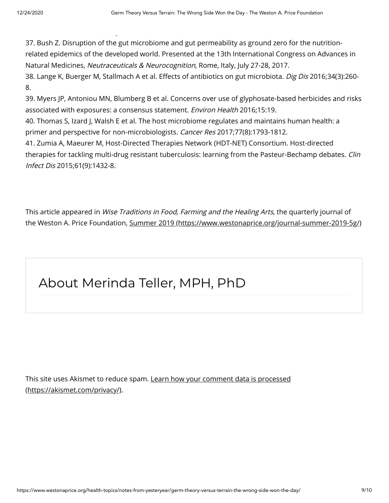37. Bush Z. Disruption of the gut microbiome and gut permeability as ground zero for the nutritionrelated epidemics of the developed world. Presented at the 13th International Congress on Advances in Natural Medicines, Neutraceuticals & Neurocognition, Rome, Italy, July 27-28, 2017.

38. Lange K, Buerger M, Stallmach A et al. Effects of antibiotics on gut microbiota. Dig Dis 2016;34(3):260-8.

39. Myers JP, Antoniou MN, Blumberg B et al. Concerns over use of glyphosate-based herbicides and risks associated with exposures: a consensus statement. Environ Health 2016;15:19.

40. Thomas S, Izard J, Walsh E et al. The host microbiome regulates and maintains human health: a primer and perspective for non-microbiologists. Cancer Res 2017;77(8):1793-1812.

41. Zumia A, Maeurer M, Host-Directed Therapies Network (HDT-NET) Consortium. Host-directed therapies for tackling multi-drug resistant tuberculosis: learning from the Pasteur-Bechamp debates. Clin Infect Dis 2015;61(9):1432-8.

This article appeared in Wise Traditions in Food, Farming and the Healing Arts, the quarterly journal of the Weston A. Price Foundation, [Summer 2019 \(https://www.westonaprice.org/journal-summer-2019-5g/\)](https://www.westonaprice.org/journal-summer-2019-5g/)

## About Merinda Teller, MPH, PhD

g

[This site uses Akismet to reduce spam. Learn how your comment data is processed](https://akismet.com/privacy/) (https://akismet.com/privacy/).